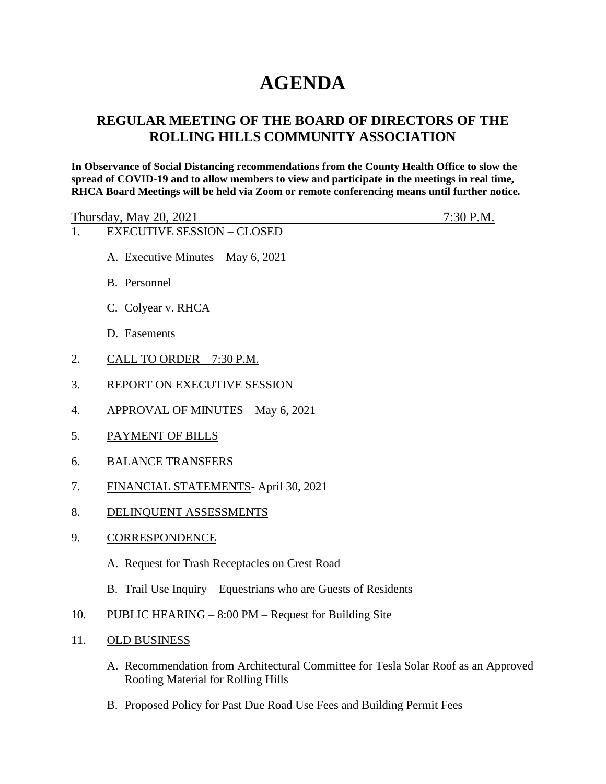# **AGENDA**

# **REGULAR MEETING OF THE BOARD OF DIRECTORS OF THE ROLLING HILLS COMMUNITY ASSOCIATION**

**In Observance of Social Distancing recommendations from the County Health Office to slow the spread of COVID-19 and to allow members to view and participate in the meetings in real time, RHCA Board Meetings will be held via Zoom or remote conferencing means until further notice.** 

| Thursday, May 20, 2021            | $7:30$ P.M. |
|-----------------------------------|-------------|
| <b>EXECUTIVE SESSION – CLOSED</b> |             |

- A. Executive Minutes May 6, 2021
- B. Personnel
- C. Colyear v. RHCA
- D. Easements
- 2. CALL TO ORDER 7:30 P.M.
- 3. REPORT ON EXECUTIVE SESSION
- 4. APPROVAL OF MINUTES May 6, 2021
- 5. PAYMENT OF BILLS
- 6. BALANCE TRANSFERS
- 7. FINANCIAL STATEMENTS- April 30, 2021
- 8. DELINQUENT ASSESSMENTS
- 9. CORRESPONDENCE
	- A. Request for Trash Receptacles on Crest Road
	- B. Trail Use Inquiry Equestrians who are Guests of Residents
- 10. PUBLIC HEARING  $8:00 \text{ PM}$  Request for Building Site
- 11. OLD BUSINESS
	- A. Recommendation from Architectural Committee for Tesla Solar Roof as an Approved Roofing Material for Rolling Hills
	- B. Proposed Policy for Past Due Road Use Fees and Building Permit Fees